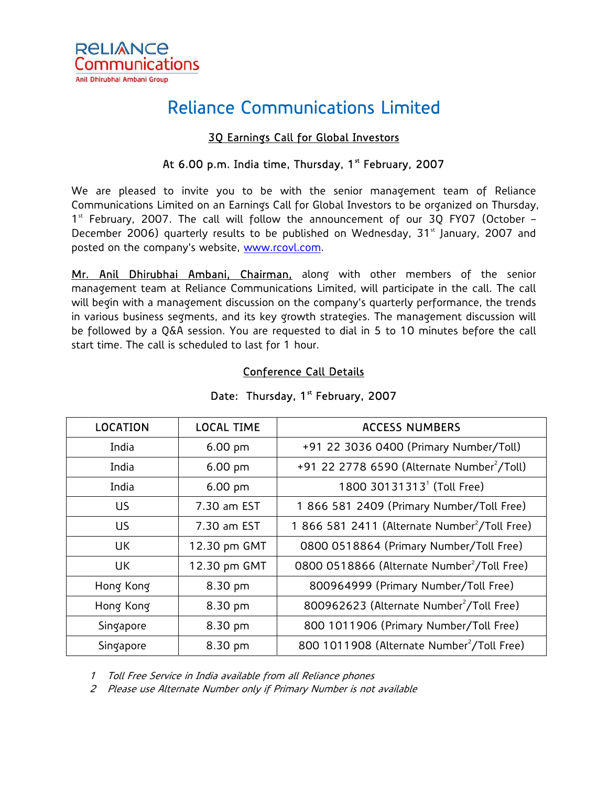

# Reliance Communications Limited

## 3Q Earnings Call for Global Investors

#### At  $6.00$  p.m. India time, Thursday,  $1<sup>st</sup>$  February, 2007

We are pleased to invite you to be with the senior management team of Reliance Communications Limited on an Earnings Call for Global Investors to be organized on Thursday,  $1<sup>st</sup>$  February, 2007. The call will follow the announcement of our 3Q FY07 (October – December 2006) quarterly results to be published on Wednesday,  $31<sup>st</sup>$  January, 2007 and posted on the company's website, www.rcovl.com.

Mr. Anil Dhirubhai Ambani, Chairman, along with other members of the senior management team at Reliance Communications Limited, will participate in the call. The call will begin with a management discussion on the company's quarterly performance, the trends in various business segments, and its key growth strategies. The management discussion will be followed by a Q&A session. You are requested to dial in 5 to 10 minutes before the call start time. The call is scheduled to last for 1 hour.

| <b>LOCATION</b> | <b>LOCAL TIME</b> | <b>ACCESS NUMBERS</b>                                     |  |
|-----------------|-------------------|-----------------------------------------------------------|--|
| India           | $6.00$ pm         | +91 22 3036 0400 (Primary Number/Toll)                    |  |
| India           | $6.00$ pm         | +91 22 2778 6590 (Alternate Number <sup>2</sup> /Toll)    |  |
| India           | $6.00$ pm         | 1800 30131313 <sup>1</sup> (Toll Free)                    |  |
| US              | 7.30 am EST       | 1 866 581 2409 (Primary Number/Toll Free)                 |  |
| US              | 7.30 am EST       | 1 866 581 2411 (Alternate Number <sup>2</sup> /Toll Free) |  |
| UК              | 12.30 pm GMT      | 0800 0518864 (Primary Number/Toll Free)                   |  |
| UК              | 12.30 pm GMT      | 0800 0518866 (Alternate Number <sup>2</sup> /Toll Free)   |  |
| Hong Kong       | 8.30 pm           | 800964999 (Primary Number/Toll Free)                      |  |
| Hong Kong       | 8.30 pm           | 800962623 (Alternate Number <sup>2</sup> /Toll Free)      |  |
| Singapore       | 8.30 pm           | 800 1011906 (Primary Number/Toll Free)                    |  |
| Singapore       | 8.30 pm           | 800 1011908 (Alternate Number <sup>2</sup> /Toll Free)    |  |

#### Conference Call Details

## Date: Thursday, 1<sup>st</sup> February, 2007

1 Toll Free Service in India available from all Reliance phones

2 Please use Alternate Number only if Primary Number is not available